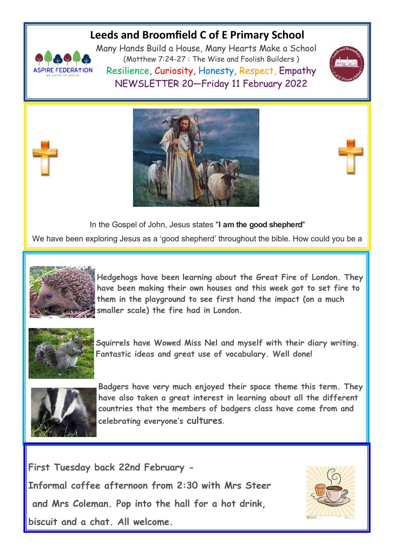### **Leeds and Broomfield C of E Primary School**



Many Hands Build a House, Many Hearts Make a School (Matthew 7:24-27 : The Wise and Foolish Builders ) Resilience, Curiosity, Honesty, Respect, Empathy NEWSLETTER 20—Friday 11 February 2022





In the Gospel of John, Jesus states "**I am the good shepherd**"

We have been exploring Jesus as a 'good shepherd' throughout the bible. How could you be a



**Hedgehogs have been learning about the Great Fire of London. They have been making their own houses and this week got to set fire to them in the playground to see first hand the impact (on a much smaller scale) the fire had in London.**



**Squirrels have Wowed Miss Nel and myself with their diary writing. Fantastic ideas and great use of vocabulary. Well done!**



**Badgers have very much enjoyed their space theme this term. They have also taken a great interest in learning about all the different countries that the members of badgers class have come from and celebrating everyone's cultures.**

**First Tuesday back 22nd February - Informal coffee afternoon from 2:30 with Mrs Steer and Mrs Coleman. Pop into the hall for a hot drink, biscuit and a chat. All welcome.**

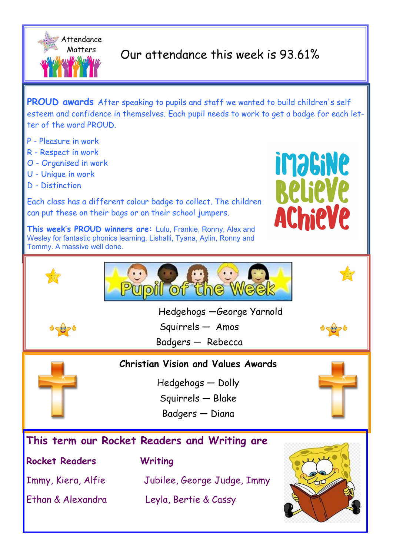

# Our attendance this week is 93.61%

**PROUD awards** After speaking to pupils and staff we wanted to build children's self esteem and confidence in themselves. Each pupil needs to work to get a badge for each letter of the word PROUD.

- P Pleasure in work
- R Respect in work
- O Organised in work
- U Unique in work
- D Distinction

Each class has a different colour badge to collect. The children can put these on their bags or on their school jumpers.

**This week's PROUD winners are:** Lulu, Frankie, Ronny, Alex and Wesley for fantastic phonics learning. Lishalli, Tyana, Aylin, Ronny and Tommy. A massive well done.





Hedgehogs —George Yarnold

Squirrels — Amos

Badgers — Rebecca



**Christian Vision and Values Awards**

Hedgehogs — Dolly

Squirrels — Blake

Badgers — Diana

### **This term our Rocket Readers and Writing are**

**Rocket Readers Writing**

Immy, Kiera, Alfie Jubilee, George Judge, Immy Ethan & Alexandra Leyla, Bertie & Cassy

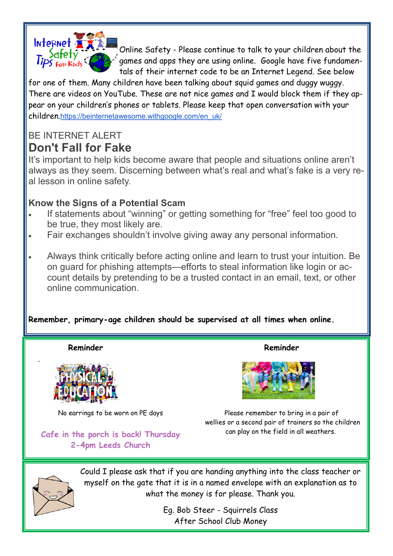

Online Safety - Please continue to talk to your children about the games and apps they are using online. Google have five fundamentals of their internet code to be an Internet Legend. See below

for one of them. Many children have been talking about squid games and duggy wuggy. There are videos on YouTube. These are not nice games and I would block them if they appear on your children's phones or tablets. Please keep that open conversation with your children.[https://beinternetawesome.withgoogle.com/en\\_uk/](https://beinternetawesome.withgoogle.com/en_uk/)

## BE INTERNET AI FRT **Don't Fall for Fake**

It's important to help kids become aware that people and situations online aren't always as they seem. Discerning between what's real and what's fake is a very real lesson in online safety.

### **Know the Signs of a Potential Scam**

- If statements about "winning" or getting something for "free" feel too good to be true, they most likely are.
- Fair exchanges shouldn't involve giving away any personal information.
- Always think critically before acting online and learn to trust your intuition. Be on guard for phishing attempts—efforts to steal information like login or account details by pretending to be a trusted contact in an email, text, or other online communication.

#### **Remember, primary-age children should be supervised at all times when online.**

 **Reminder** 



No earrings to be worn on PE days

**Cafe in the porch is back! Thursday 2-4pm Leeds Church**

**Reminder**



Please remember to bring in a pair of wellies or a second pair of trainers so the children can play on the field in all weathers.



.

Could I please ask that if you are handing anything into the class teacher or myself on the gate that it is in a named envelope with an explanation as to what the money is for please. Thank you.

> Eg. Bob Steer - Squirrels Class After School Club Money